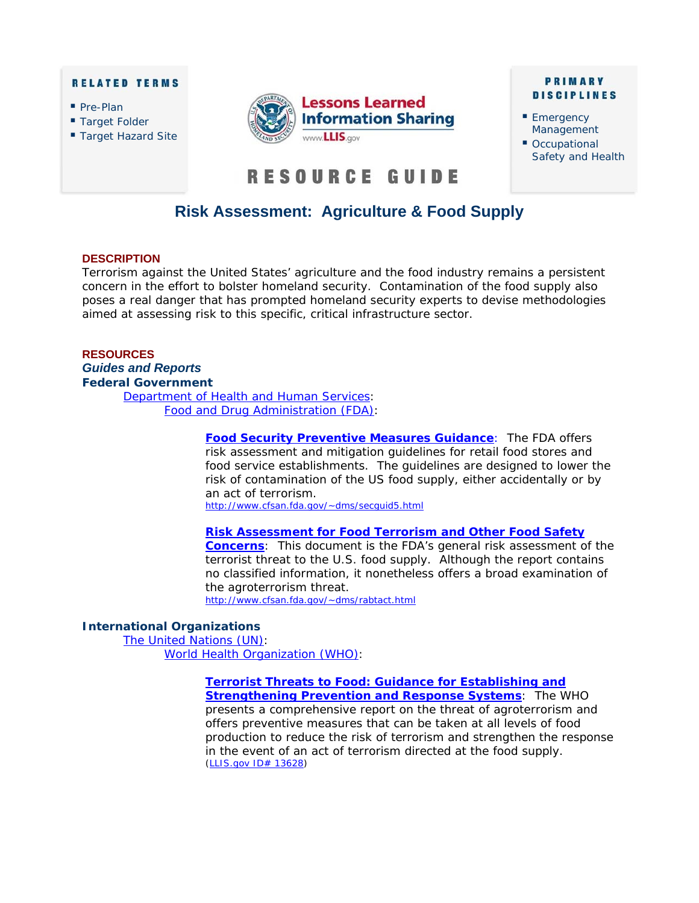#### **RELATED TERMS**

- Pre-Plan
- Target Folder
- Target Hazard Site



#### **PRIMARY DISCIPLINES**

- **Emergency** Management
- Occupational Safety and Health

# RESOURCE GUIDE

# **Risk Assessment: Agriculture & Food Supply**

#### **DESCRIPTION**

Terrorism against the United States' agriculture and the food industry remains a persistent concern in the effort to bolster homeland security. Contamination of the food supply also poses a real danger that has prompted homeland security experts to devise methodologies aimed at assessing risk to this specific, critical infrastructure sector.

# **RESOURCES**  *Guides and Reports* **Federal Government**

[Department of Health and Human Services:](http://www.os.dhhs.gov/)  [Food and Drug Administration \(FDA\):](http://www.fda.gov/)

> **[Food Security Preventive Measures Guidance](http://www.cfsan.fda.gov/~dms/secguid5.html)**: The FDA offers risk assessment and mitigation guidelines for retail food stores and food service establishments. The guidelines are designed to lower the risk of contamination of the US food supply, either accidentally or by an act of terrorism. http://www.cfsan.fda.gov/~dms/secquid5.html

#### **[Risk Assessment for Food Terrorism and Other Food Safety](http://www.cfsan.fda.gov/~dms/rabtact.html)**

**Concerns**: This document is the FDA's general risk assessment of the terrorist threat to the U.S. food supply. Although the report contains no classified information, it nonetheless offers a broad examination of the agroterrorism threat. <http://www.cfsan.fda.gov/~dms/rabtact.html>

#### **International Organizations**

The United Nations (UN): [World Health Organization \(WHO\):](http://www.who.int/en/) 

> **[Terrorist Threats to Food: Guidance for Establishing and](https://www.llis.dhs.gov/docdetails/details.do?contentID=13628)  Strengthening Prevention and Response Systems**: The WHO presents a comprehensive report on the threat of agroterrorism and offers preventive measures that can be taken at all levels of food production to reduce the risk of terrorism and strengthen the response in the event of an act of terrorism directed at the food supply. (*LLIS.gov* [ID# 13628\)](https://www.llis.dhs.gov/docdetails/details.do?contentID=13628)